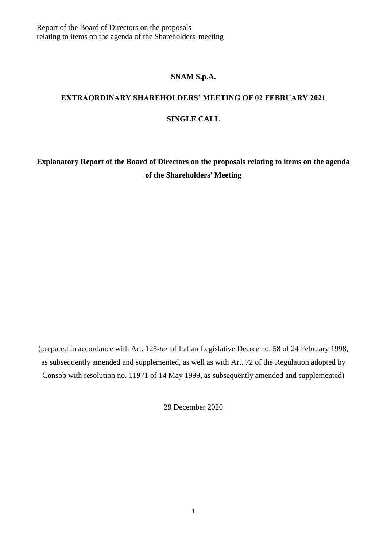#### **SNAM S.p.A.**

# **EXTRAORDINARY SHAREHOLDERS' MEETING OF 02 FEBRUARY 2021**

#### **SINGLE CALL**

**Explanatory Report of the Board of Directors on the proposals relating to items on the agenda of the Shareholders' Meeting**

(prepared in accordance with Art. 125-*ter* of Italian Legislative Decree no. 58 of 24 February 1998, as subsequently amended and supplemented, as well as with Art. 72 of the Regulation adopted by Consob with resolution no. 11971 of 14 May 1999, as subsequently amended and supplemented)

29 December 2020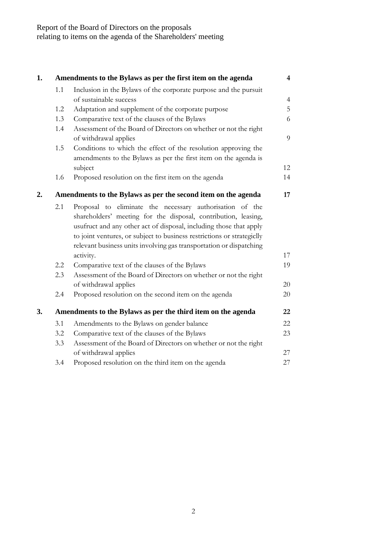| 1. |                                                              | Amendments to the Bylaws as per the first item on the agenda                              | $\overline{\mathbf{4}}$  |
|----|--------------------------------------------------------------|-------------------------------------------------------------------------------------------|--------------------------|
|    | 1.1                                                          | Inclusion in the Bylaws of the corporate purpose and the pursuit                          |                          |
|    |                                                              | of sustainable success                                                                    | $\overline{\mathcal{A}}$ |
|    | 1.2                                                          | Adaptation and supplement of the corporate purpose                                        | 5                        |
|    | 1.3                                                          | Comparative text of the clauses of the Bylaws                                             | 6                        |
|    | 1.4                                                          | Assessment of the Board of Directors on whether or not the right<br>of withdrawal applies | 9                        |
|    | 1.5                                                          | Conditions to which the effect of the resolution approving the                            |                          |
|    |                                                              | amendments to the Bylaws as per the first item on the agenda is                           |                          |
|    |                                                              | subject                                                                                   | 12                       |
|    | 1.6                                                          | Proposed resolution on the first item on the agenda                                       | 14                       |
| 2. |                                                              | Amendments to the Bylaws as per the second item on the agenda                             | 17                       |
|    | 2.1                                                          | Proposal to eliminate the necessary authorisation of the                                  |                          |
|    |                                                              | shareholders' meeting for the disposal, contribution, leasing,                            |                          |
|    |                                                              | usufruct and any other act of disposal, including those that apply                        |                          |
|    |                                                              | to joint ventures, or subject to business restrictions or strategiclly                    |                          |
|    |                                                              | relevant business units involving gas transportation or dispatching                       |                          |
|    |                                                              | activity.                                                                                 | 17                       |
|    | 2.2                                                          | Comparative text of the clauses of the Bylaws                                             | 19                       |
|    | 2.3                                                          | Assessment of the Board of Directors on whether or not the right                          |                          |
|    |                                                              | of withdrawal applies                                                                     | 20                       |
|    | 2.4                                                          | Proposed resolution on the second item on the agenda                                      | 20                       |
| 3. | Amendments to the Bylaws as per the third item on the agenda |                                                                                           |                          |
|    | 3.1                                                          | Amendments to the Bylaws on gender balance                                                | 22                       |
|    | 3.2                                                          | Comparative text of the clauses of the Bylaws                                             | 23                       |
|    | 3.3                                                          | Assessment of the Board of Directors on whether or not the right                          |                          |
|    |                                                              | of withdrawal applies                                                                     | 27                       |
|    | 3.4                                                          | Proposed resolution on the third item on the agenda                                       | 27                       |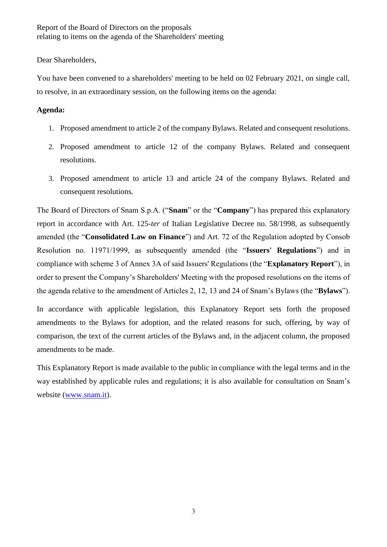Dear Shareholders,

You have been convened to a shareholders' meeting to be held on 02 February 2021, on single call, to resolve, in an extraordinary session, on the following items on the agenda:

#### **Agenda:**

- 1. Proposed amendment to article 2 of the company Bylaws. Related and consequent resolutions.
- 2. Proposed amendment to article 12 of the company Bylaws. Related and consequent resolutions.
- 3. Proposed amendment to article 13 and article 24 of the company Bylaws. Related and consequent resolutions.

The Board of Directors of Snam S.p.A. ("**Snam**" or the "**Company**") has prepared this explanatory report in accordance with Art. 125-*ter* of Italian Legislative Decree no. 58/1998, as subsequently amended (the "**Consolidated Law on Finance**") and Art. 72 of the Regulation adopted by Consob Resolution no. 11971/1999, as subsequently amended (the "**Issuers' Regulations**") and in compliance with scheme 3 of Annex 3A of said Issuers' Regulations (the "**Explanatory Report**"), in order to present the Company's Shareholders' Meeting with the proposed resolutions on the items of the agenda relative to the amendment of Articles 2, 12, 13 and 24 of Snam's Bylaws (the "**Bylaws**").

In accordance with applicable legislation, this Explanatory Report sets forth the proposed amendments to the Bylaws for adoption, and the related reasons for such, offering, by way of comparison, the text of the current articles of the Bylaws and, in the adjacent column, the proposed amendments to be made.

This Explanatory Report is made available to the public in compliance with the legal terms and in the way established by applicable rules and regulations; it is also available for consultation on Snam's website [\(www.snam.it\)](http://www.snam.it/).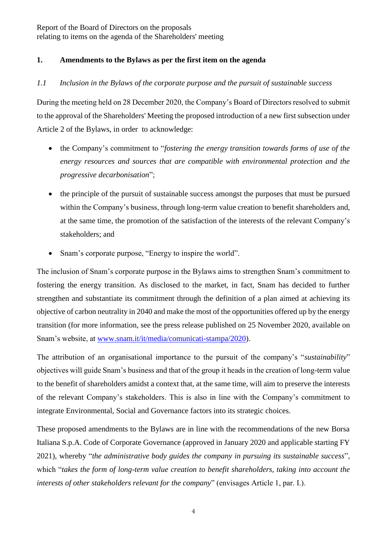### <span id="page-3-0"></span>**1. Amendments to the Bylaws as per the first item on the agenda**

### <span id="page-3-1"></span>*1.1 Inclusion in the Bylaws of the corporate purpose and the pursuit of sustainable success*

During the meeting held on 28 December 2020, the Company's Board of Directors resolved to submit to the approval of the Shareholders' Meeting the proposed introduction of a new first subsection under Article 2 of the Bylaws, in order to acknowledge:

- the Company's commitment to "*fostering the energy transition towards forms of use of the energy resources and sources that are compatible with environmental protection and the progressive decarbonisation*";
- the principle of the pursuit of sustainable success amongst the purposes that must be pursued within the Company's business, through long-term value creation to benefit shareholders and, at the same time, the promotion of the satisfaction of the interests of the relevant Company's stakeholders; and
- Snam's corporate purpose, "Energy to inspire the world".

The inclusion of Snam's corporate purpose in the Bylaws aims to strengthen Snam's commitment to fostering the energy transition. As disclosed to the market, in fact, Snam has decided to further strengthen and substantiate its commitment through the definition of a plan aimed at achieving its objective of carbon neutrality in 2040 and make the most of the opportunities offered up by the energy transition (for more information, see the press release published on 25 November 2020, available on Snam's website, at [www.snam.it/it/media/comunicati-stampa/2020\)](http://www.snam.it/it/media/comunicati-stampa/2020).

The attribution of an organisational importance to the pursuit of the company's "*sustainability*" objectives will guide Snam's business and that of the group it heads in the creation of long-term value to the benefit of shareholders amidst a context that, at the same time, will aim to preserve the interests of the relevant Company's stakeholders. This is also in line with the Company's commitment to integrate Environmental, Social and Governance factors into its strategic choices.

These proposed amendments to the Bylaws are in line with the recommendations of the new Borsa Italiana S.p.A. Code of Corporate Governance (approved in January 2020 and applicable starting FY 2021), whereby "*the administrative body guides the company in pursuing its sustainable success*", which "*takes the form of long-term value creation to benefit shareholders, taking into account the interests of other stakeholders relevant for the company*" (envisages Article 1, par. I.).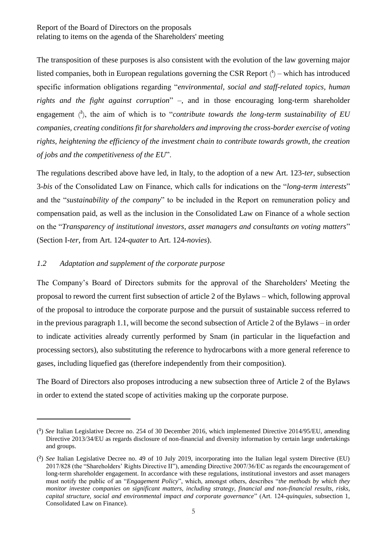The transposition of these purposes is also consistent with the evolution of the law governing major listed companies, both in European regulations governing the CSR Report  $\binom{A}{k}$  – which has introduced specific information obligations regarding "*environmental, social and staff-related topics, human rights and the fight against corruption*" –, and in those encouraging long-term shareholder engagement ( **2** ), the aim of which is to "*contribute towards the long-term sustainability of EU companies, creating conditions fit for shareholders and improving the cross-border exercise of voting rights, heightening the efficiency of the investment chain to contribute towards growth, the creation of jobs and the competitiveness of the EU*".

The regulations described above have led, in Italy, to the adoption of a new Art. 123-*ter*, subsection 3-*bis* of the Consolidated Law on Finance, which calls for indications on the "*long-term interests*" and the "*sustainability of the company*" to be included in the Report on remuneration policy and compensation paid, as well as the inclusion in the Consolidated Law on Finance of a whole section on the "*Transparency of institutional investors, asset managers and consultants on voting matters*" (Section I-*ter*, from Art. 124-*quater* to Art. 124-*novies*).

#### <span id="page-4-0"></span>*1.2 Adaptation and supplement of the corporate purpose*

-

The Company's Board of Directors submits for the approval of the Shareholders' Meeting the proposal to reword the current first subsection of article 2 of the Bylaws – which, following approval of the proposal to introduce the corporate purpose and the pursuit of sustainable success referred to in the previous paragraph 1.1, will become the second subsection of Article 2 of the Bylaws – in order to indicate activities already currently performed by Snam (in particular in the liquefaction and processing sectors), also substituting the reference to hydrocarbons with a more general reference to gases, including liquefied gas (therefore independently from their composition).

The Board of Directors also proposes introducing a new subsection three of Article 2 of the Bylaws in order to extend the stated scope of activities making up the corporate purpose.

<sup>(</sup> **1** ) *See* Italian Legislative Decree no. 254 of 30 December 2016, which implemented Directive 2014/95/EU, amending Directive 2013/34/EU as regards disclosure of non-financial and diversity information by certain large undertakings and groups.

<sup>(</sup> **2** ) *See* Italian Legislative Decree no. 49 of 10 July 2019, incorporating into the Italian legal system Directive (EU) 2017/828 (the "Shareholders' Rights Directive II"), amending Directive 2007/36/EC as regards the encouragement of long-term shareholder engagement. In accordance with these regulations, institutional investors and asset managers must notify the public of an "*Engagement Policy*", which, amongst others, describes "*the methods by which they monitor investee companies on significant matters, including strategy, financial and non-financial results, risks, capital structure, social and environmental impact and corporate governance*" (Art. 124-*quinquies*, subsection 1, Consolidated Law on Finance).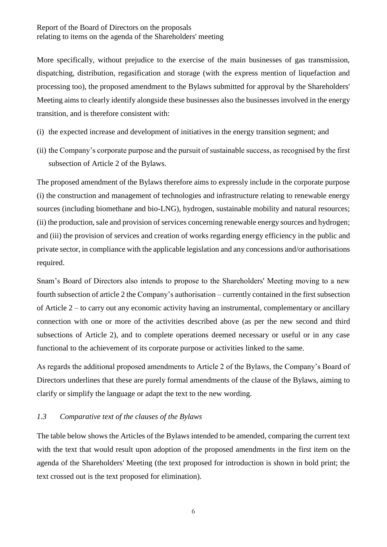More specifically, without prejudice to the exercise of the main businesses of gas transmission, dispatching, distribution, regasification and storage (with the express mention of liquefaction and processing too), the proposed amendment to the Bylaws submitted for approval by the Shareholders' Meeting aims to clearly identify alongside these businesses also the businesses involved in the energy transition, and is therefore consistent with:

- (i) the expected increase and development of initiatives in the energy transition segment; and
- (ii) the Company's corporate purpose and the pursuit of sustainable success, as recognised by the first subsection of Article 2 of the Bylaws.

The proposed amendment of the Bylaws therefore aims to expressly include in the corporate purpose (i) the construction and management of technologies and infrastructure relating to renewable energy sources (including biomethane and bio-LNG), hydrogen, sustainable mobility and natural resources; (ii) the production, sale and provision of services concerning renewable energy sources and hydrogen; and (iii) the provision of services and creation of works regarding energy efficiency in the public and private sector, in compliance with the applicable legislation and any concessions and/or authorisations required.

Snam's Board of Directors also intends to propose to the Shareholders' Meeting moving to a new fourth subsection of article 2 the Company's authorisation – currently contained in the first subsection of Article 2 – to carry out any economic activity having an instrumental, complementary or ancillary connection with one or more of the activities described above (as per the new second and third subsections of Article 2), and to complete operations deemed necessary or useful or in any case functional to the achievement of its corporate purpose or activities linked to the same.

As regards the additional proposed amendments to Article 2 of the Bylaws, the Company's Board of Directors underlines that these are purely formal amendments of the clause of the Bylaws, aiming to clarify or simplify the language or adapt the text to the new wording.

# <span id="page-5-0"></span>*1.3 Comparative text of the clauses of the Bylaws*

The table below shows the Articles of the Bylaws intended to be amended, comparing the current text with the text that would result upon adoption of the proposed amendments in the first item on the agenda of the Shareholders' Meeting (the text proposed for introduction is shown in bold print; the text crossed out is the text proposed for elimination).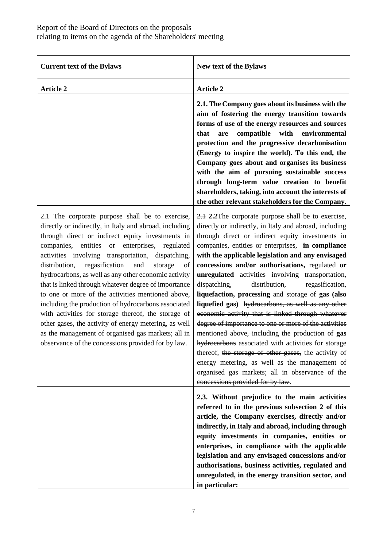| <b>Current text of the Bylaws</b>                                                                                                                                                                                                                                                                                                                                                                                                                                                                                                                                                                                                                                                                                                                                                      | New text of the Bylaws                                                                                                                                                                                                                                                                                                                                                                                                                                                                                                                                                                                                                                                                                                                                                                                                                                                                                                                                                               |
|----------------------------------------------------------------------------------------------------------------------------------------------------------------------------------------------------------------------------------------------------------------------------------------------------------------------------------------------------------------------------------------------------------------------------------------------------------------------------------------------------------------------------------------------------------------------------------------------------------------------------------------------------------------------------------------------------------------------------------------------------------------------------------------|--------------------------------------------------------------------------------------------------------------------------------------------------------------------------------------------------------------------------------------------------------------------------------------------------------------------------------------------------------------------------------------------------------------------------------------------------------------------------------------------------------------------------------------------------------------------------------------------------------------------------------------------------------------------------------------------------------------------------------------------------------------------------------------------------------------------------------------------------------------------------------------------------------------------------------------------------------------------------------------|
| <b>Article 2</b>                                                                                                                                                                                                                                                                                                                                                                                                                                                                                                                                                                                                                                                                                                                                                                       | <b>Article 2</b>                                                                                                                                                                                                                                                                                                                                                                                                                                                                                                                                                                                                                                                                                                                                                                                                                                                                                                                                                                     |
|                                                                                                                                                                                                                                                                                                                                                                                                                                                                                                                                                                                                                                                                                                                                                                                        | 2.1. The Company goes about its business with the<br>aim of fostering the energy transition towards<br>forms of use of the energy resources and sources<br>compatible<br>with<br>environmental<br>that<br>are<br>protection and the progressive decarbonisation<br>(Energy to inspire the world). To this end, the<br>Company goes about and organises its business<br>with the aim of pursuing sustainable success<br>through long-term value creation to benefit<br>shareholders, taking, into account the interests of<br>the other relevant stakeholders for the Company.                                                                                                                                                                                                                                                                                                                                                                                                        |
| 2.1 The corporate purpose shall be to exercise,<br>directly or indirectly, in Italy and abroad, including<br>through direct or indirect equity investments in<br>companies, entities or enterprises, regulated<br>activities involving transportation, dispatching,<br>regasification<br>and<br>distribution,<br>storage<br>of<br>hydrocarbons, as well as any other economic activity<br>that is linked through whatever degree of importance<br>to one or more of the activities mentioned above,<br>including the production of hydrocarbons associated<br>with activities for storage thereof, the storage of<br>other gases, the activity of energy metering, as well<br>as the management of organised gas markets; all in<br>observance of the concessions provided for by law. | 2.1 2.2 The corporate purpose shall be to exercise,<br>directly or indirectly, in Italy and abroad, including<br>through <del>direct or indirect</del> equity investments in<br>companies, entities or enterprises, in compliance<br>with the applicable legislation and any envisaged<br>concessions and/or authorisations, regulated or<br>unregulated activities involving transportation,<br>dispatching,<br>distribution,<br>regasification,<br>liquefaction, processing and storage of gas (also<br>liquefied gas) hydrocarbons, as well as any other<br>economic activity that is linked through whatever<br>degree of importance to one or more of the activities<br>mentioned above, including the production of gas<br>hydrocarbons associated with activities for storage<br>thereof, the storage of other gases, the activity of<br>energy metering, as well as the management of<br>organised gas markets; all in observance of the<br>concessions provided for by law. |
|                                                                                                                                                                                                                                                                                                                                                                                                                                                                                                                                                                                                                                                                                                                                                                                        | 2.3. Without prejudice to the main activities<br>referred to in the previous subsection 2 of this<br>article, the Company exercises, directly and/or<br>indirectly, in Italy and abroad, including through<br>equity investments in companies, entities or<br>enterprises, in compliance with the applicable<br>legislation and any envisaged concessions and/or<br>authorisations, business activities, regulated and<br>unregulated, in the energy transition sector, and<br>in particular:                                                                                                                                                                                                                                                                                                                                                                                                                                                                                        |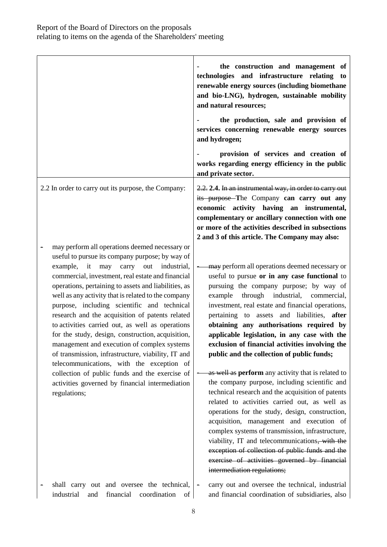|                                                                                                                                                                                                                                                                                                                                                                                                                                                                                                                                                                                                                                                                                                                                                                                        | the construction and management of<br>technologies and infrastructure relating to<br>renewable energy sources (including biomethane<br>and bio-LNG), hydrogen, sustainable mobility<br>and natural resources;<br>the production, sale and provision of<br>services concerning renewable energy sources<br>and hydrogen;<br>provision of services and creation of                                                                                                                                                                                                                                 |
|----------------------------------------------------------------------------------------------------------------------------------------------------------------------------------------------------------------------------------------------------------------------------------------------------------------------------------------------------------------------------------------------------------------------------------------------------------------------------------------------------------------------------------------------------------------------------------------------------------------------------------------------------------------------------------------------------------------------------------------------------------------------------------------|--------------------------------------------------------------------------------------------------------------------------------------------------------------------------------------------------------------------------------------------------------------------------------------------------------------------------------------------------------------------------------------------------------------------------------------------------------------------------------------------------------------------------------------------------------------------------------------------------|
|                                                                                                                                                                                                                                                                                                                                                                                                                                                                                                                                                                                                                                                                                                                                                                                        | works regarding energy efficiency in the public<br>and private sector.                                                                                                                                                                                                                                                                                                                                                                                                                                                                                                                           |
| 2.2 In order to carry out its purpose, the Company:                                                                                                                                                                                                                                                                                                                                                                                                                                                                                                                                                                                                                                                                                                                                    | 2.2. 2.4. In an instrumental way, in order to carry out<br>its purpose-The Company can carry out any<br>economic activity having an instrumental,<br>complementary or ancillary connection with one<br>or more of the activities described in subsections<br>2 and 3 of this article. The Company may also:                                                                                                                                                                                                                                                                                      |
| may perform all operations deemed necessary or<br>useful to pursue its company purpose; by way of<br>may<br>carry out industrial,<br>example, it<br>commercial, investment, real estate and financial<br>operations, pertaining to assets and liabilities, as<br>well as any activity that is related to the company<br>purpose, including scientific and technical<br>research and the acquisition of patents related<br>to activities carried out, as well as operations<br>for the study, design, construction, acquisition,<br>management and execution of complex systems<br>of transmission, infrastructure, viability, IT and<br>telecommunications, with the exception of<br>collection of public funds and the exercise of<br>activities governed by financial intermediation | may perform all operations deemed necessary or<br>useful to pursue or in any case functional to<br>pursuing the company purpose; by way of<br>through industrial, commercial,<br>example<br>investment, real estate and financial operations,<br>pertaining to assets and liabilities, after<br>obtaining any authorisations required by<br>applicable legislation, in any case with the<br>exclusion of financial activities involving the<br>public and the collection of public funds;<br>as well as perform any activity that is related to<br>the company purpose, including scientific and |
| regulations;                                                                                                                                                                                                                                                                                                                                                                                                                                                                                                                                                                                                                                                                                                                                                                           | technical research and the acquisition of patents<br>related to activities carried out, as well as<br>operations for the study, design, construction,<br>acquisition, management and execution of<br>complex systems of transmission, infrastructure,<br>viability, IT and telecommunications, with the<br>exception of collection of public funds and the<br>exercise of activities governed by financial<br>intermediation regulations;                                                                                                                                                        |
| shall carry out and oversee the technical,<br>industrial<br>financial<br>coordination<br>of<br>and                                                                                                                                                                                                                                                                                                                                                                                                                                                                                                                                                                                                                                                                                     | carry out and oversee the technical, industrial<br>$\blacksquare$<br>and financial coordination of subsidiaries, also                                                                                                                                                                                                                                                                                                                                                                                                                                                                            |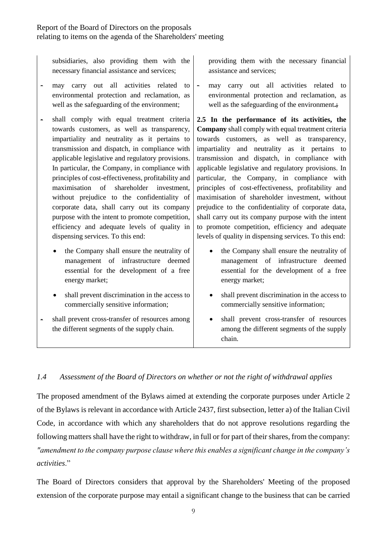subsidiaries, also providing them with the necessary financial assistance and services;

- may carry out all activities related to environmental protection and reclamation, as well as the safeguarding of the environment;
- shall comply with equal treatment criteria towards customers, as well as transparency, impartiality and neutrality as it pertains to transmission and dispatch, in compliance with applicable legislative and regulatory provisions. In particular, the Company, in compliance with principles of cost-effectiveness, profitability and maximisation of shareholder investment, without prejudice to the confidentiality of corporate data, shall carry out its company purpose with the intent to promote competition, efficiency and adequate levels of quality in dispensing services. To this end:
	- the Company shall ensure the neutrality of management of infrastructure deemed essential for the development of a free energy market;
	- shall prevent discrimination in the access to commercially sensitive information;
- shall prevent cross-transfer of resources among the different segments of the supply chain.

providing them with the necessary financial assistance and services;

- may carry out all activities related to environmental protection and reclamation, as well as the safeguarding of the environment**.**;

**2.5 In the performance of its activities, the Company** shall comply with equal treatment criteria towards customers, as well as transparency, impartiality and neutrality as it pertains to transmission and dispatch, in compliance with applicable legislative and regulatory provisions. In particular, the Company, in compliance with principles of cost-effectiveness, profitability and maximisation of shareholder investment, without prejudice to the confidentiality of corporate data, shall carry out its company purpose with the intent to promote competition, efficiency and adequate levels of quality in dispensing services. To this end:

- the Company shall ensure the neutrality of management of infrastructure deemed essential for the development of a free energy market;
- shall prevent discrimination in the access to commercially sensitive information;
- shall prevent cross-transfer of resources among the different segments of the supply chain.

# <span id="page-8-0"></span>*1.4 Assessment of the Board of Directors on whether or not the right of withdrawal applies*

The proposed amendment of the Bylaws aimed at extending the corporate purposes under Article 2 of the Bylaws is relevant in accordance with Article 2437, first subsection, letter a) of the Italian Civil Code, in accordance with which any shareholders that do not approve resolutions regarding the following matters shall have the right to withdraw, in full or for part of their shares, from the company: *"amendment to the company purpose clause where this enables a significant change in the company's activities*."

The Board of Directors considers that approval by the Shareholders' Meeting of the proposed extension of the corporate purpose may entail a significant change to the business that can be carried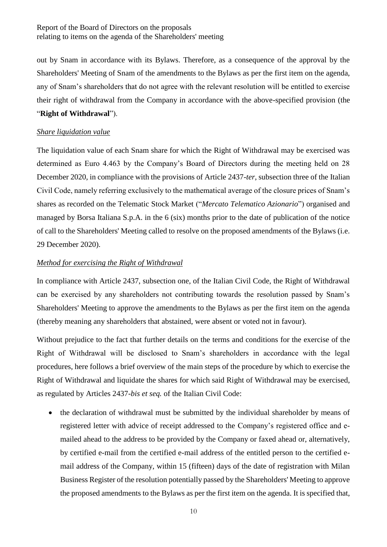out by Snam in accordance with its Bylaws. Therefore, as a consequence of the approval by the Shareholders' Meeting of Snam of the amendments to the Bylaws as per the first item on the agenda, any of Snam's shareholders that do not agree with the relevant resolution will be entitled to exercise their right of withdrawal from the Company in accordance with the above-specified provision (the "**Right of Withdrawal**").

#### *Share liquidation value*

The liquidation value of each Snam share for which the Right of Withdrawal may be exercised was determined as Euro 4.463 by the Company's Board of Directors during the meeting held on 28 December 2020, in compliance with the provisions of Article 2437-*ter*, subsection three of the Italian Civil Code, namely referring exclusively to the mathematical average of the closure prices of Snam's shares as recorded on the Telematic Stock Market ("*Mercato Telematico Azionario*") organised and managed by Borsa Italiana S.p.A. in the 6 (six) months prior to the date of publication of the notice of call to the Shareholders' Meeting called to resolve on the proposed amendments of the Bylaws (i.e. 29 December 2020).

### *Method for exercising the Right of Withdrawal*

In compliance with Article 2437, subsection one, of the Italian Civil Code, the Right of Withdrawal can be exercised by any shareholders not contributing towards the resolution passed by Snam's Shareholders' Meeting to approve the amendments to the Bylaws as per the first item on the agenda (thereby meaning any shareholders that abstained, were absent or voted not in favour).

Without prejudice to the fact that further details on the terms and conditions for the exercise of the Right of Withdrawal will be disclosed to Snam's shareholders in accordance with the legal procedures, here follows a brief overview of the main steps of the procedure by which to exercise the Right of Withdrawal and liquidate the shares for which said Right of Withdrawal may be exercised, as regulated by Articles 2437-*bis et seq.* of the Italian Civil Code:

• the declaration of withdrawal must be submitted by the individual shareholder by means of registered letter with advice of receipt addressed to the Company's registered office and emailed ahead to the address to be provided by the Company or faxed ahead or, alternatively, by certified e-mail from the certified e-mail address of the entitled person to the certified email address [of the](mailto:bancamps.settoreaffarisocietari@postacert.gruppo.mps.it) Company, within 15 (fifteen) days of the date of registration with Milan Business Register of the resolution potentially passed by the Shareholders' Meeting to approve the proposed amendments to the Bylaws as per the first item on the agenda. It is specified that,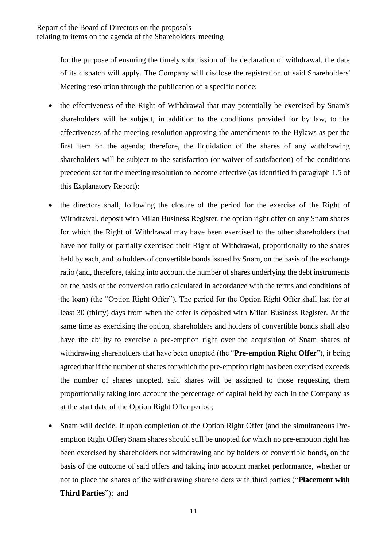for the purpose of ensuring the timely submission of the declaration of withdrawal, the date of its dispatch will apply. The Company will disclose the registration of said Shareholders' Meeting resolution through the publication of a specific notice;

- the effectiveness of the Right of Withdrawal that may potentially be exercised by Snam's shareholders will be subject, in addition to the conditions provided for by law, to the effectiveness of the meeting resolution approving the amendments to the Bylaws as per the first item on the agenda; therefore, the liquidation of the shares of any withdrawing shareholders will be subject to the satisfaction (or waiver of satisfaction) of the conditions precedent set for the meeting resolution to become effective (as identified in paragraph [1.5](#page-11-0) of this Explanatory Report);
- the directors shall, following the closure of the period for the exercise of the Right of Withdrawal, deposit with Milan Business Register, the option right offer on any Snam shares for which the Right of Withdrawal may have been exercised to the other shareholders that have not fully or partially exercised their Right of Withdrawal, proportionally to the shares held by each, and to holders of convertible bonds issued by Snam, on the basis of the exchange ratio (and, therefore, taking into account the number of shares underlying the debt instruments on the basis of the conversion ratio calculated in accordance with the terms and conditions of the loan) (the "Option Right Offer"). The period for the Option Right Offer shall last for at least 30 (thirty) days from when the offer is deposited with Milan Business Register. At the same time as exercising the option, shareholders and holders of convertible bonds shall also have the ability to exercise a pre-emption right over the acquisition of Snam shares of withdrawing shareholders that have been unopted (the "**Pre-emption Right Offer**"), it being agreed that if the number of shares for which the pre-emption right has been exercised exceeds the number of shares unopted, said shares will be assigned to those requesting them proportionally taking into account the percentage of capital held by each in the Company as at the start date of the Option Right Offer period;
- Snam will decide, if upon completion of the Option Right Offer (and the simultaneous Preemption Right Offer) Snam shares should still be unopted for which no pre-emption right has been exercised by shareholders not withdrawing and by holders of convertible bonds, on the basis of the outcome of said offers and taking into account market performance, whether or not to place the shares of the withdrawing shareholders with third parties ("**Placement with Third Parties**"); and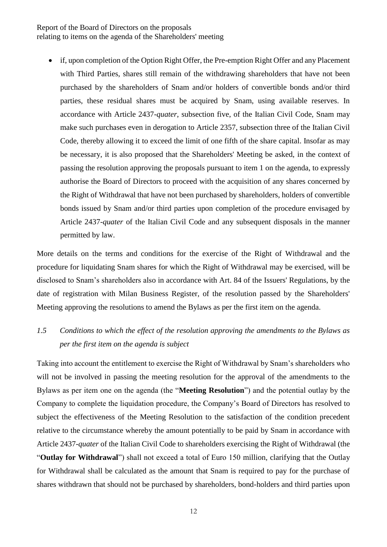if, upon completion of the Option Right Offer, the Pre-emption Right Offer and any Placement with Third Parties, shares still remain of the withdrawing shareholders that have not been purchased by the shareholders of Snam and/or holders of convertible bonds and/or third parties, these residual shares must be acquired by Snam, using available reserves. In accordance with Article 2437-*quater*, subsection five, of the Italian Civil Code, Snam may make such purchases even in derogation to Article 2357, subsection three of the Italian Civil Code, thereby allowing it to exceed the limit of one fifth of the share capital. Insofar as may be necessary, it is also proposed that the Shareholders' Meeting be asked, in the context of passing the resolution approving the proposals pursuant to item 1 on the agenda, to expressly authorise the Board of Directors to proceed with the acquisition of any shares concerned by the Right of Withdrawal that have not been purchased by shareholders, holders of convertible bonds issued by Snam and/or third parties upon completion of the procedure envisaged by Article 2437-*quater* of the Italian Civil Code and any subsequent disposals in the manner permitted by law.

More details on the terms and conditions for the exercise of the Right of Withdrawal and the procedure for liquidating Snam shares for which the Right of Withdrawal may be exercised, will be disclosed to Snam's shareholders also in accordance with Art. 84 of the Issuers' Regulations, by the date of registration with Milan Business Register, of the resolution passed by the Shareholders' Meeting approving the resolutions to amend the Bylaws as per the first item on the agenda.

# <span id="page-11-0"></span>*1.5 Conditions to which the effect of the resolution approving the amendments to the Bylaws as per the first item on the agenda is subject*

Taking into account the entitlement to exercise the Right of Withdrawal by Snam's shareholders who will not be involved in passing the meeting resolution for the approval of the amendments to the Bylaws as per item one on the agenda (the "**Meeting Resolution**") and the potential outlay by the Company to complete the liquidation procedure, the Company's Board of Directors has resolved to subject the effectiveness of the Meeting Resolution to the satisfaction of the condition precedent relative to the circumstance whereby the amount potentially to be paid by Snam in accordance with Article 2437-*quater* of the Italian Civil Code to shareholders exercising the Right of Withdrawal (the "**Outlay for Withdrawal**") shall not exceed a total of Euro 150 million, clarifying that the Outlay for Withdrawal shall be calculated as the amount that Snam is required to pay for the purchase of shares withdrawn that should not be purchased by shareholders, bond-holders and third parties upon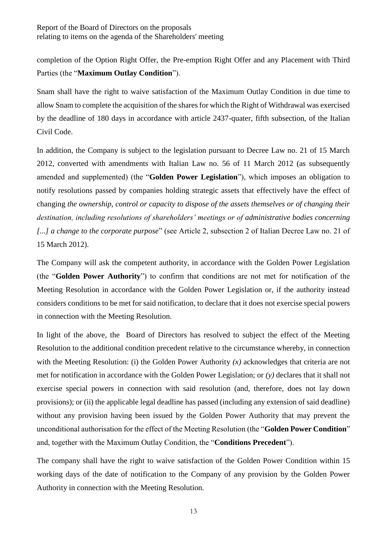completion of the Option Right Offer, the Pre-emption Right Offer and any Placement with Third Parties (the "**Maximum Outlay Condition**").

Snam shall have the right to waive satisfaction of the Maximum Outlay Condition in due time to allow Snam to complete the acquisition of the shares for which the Right of Withdrawal was exercised by the deadline of 180 days in accordance with article 2437-quater, fifth subsection, of the Italian Civil Code.

In addition, the Company is subject to the legislation pursuant to Decree Law no. 21 of 15 March 2012, converted with amendments with Italian Law no. 56 of 11 March 2012 (as subsequently amended and supplemented) (the "**Golden Power Legislation**"), which imposes an obligation to notify resolutions passed by companies holding strategic assets that effectively have the effect of changing *the ownership, control or capacity to dispose of the assets themselves or of changing their destination, including resolutions of shareholders' meetings or of administrative bodies concerning [...] a change to the corporate purpose*" (see Article 2, subsection 2 of Italian Decree Law no. 21 of 15 March 2012).

The Company will ask the competent authority, in accordance with the Golden Power Legislation (the "**Golden Power Authority**") to confirm that conditions are not met for notification of the Meeting Resolution in accordance with the Golden Power Legislation or, if the authority instead considers conditions to be met for said notification, to declare that it does not exercise special powers in connection with the Meeting Resolution.

In light of the above, the Board of Directors has resolved to subject the effect of the Meeting Resolution to the additional condition precedent relative to the circumstance whereby, in connection with the Meeting Resolution: (i) the Golden Power Authority (x) acknowledges that criteria are not met for notification in accordance with the Golden Power Legislation; or *(y)* declares that it shall not exercise special powers in connection with said resolution (and, therefore, does not lay down provisions); or (ii) the applicable legal deadline has passed (including any extension of said deadline) without any provision having been issued by the Golden Power Authority that may prevent the unconditional authorisation for the effect of the Meeting Resolution (the "**Golden Power Condition**" and, together with the Maximum Outlay Condition, the "**Conditions Precedent**").

The company shall have the right to waive satisfaction of the Golden Power Condition within 15 working days of the date of notification to the Company of any provision by the Golden Power Authority in connection with the Meeting Resolution.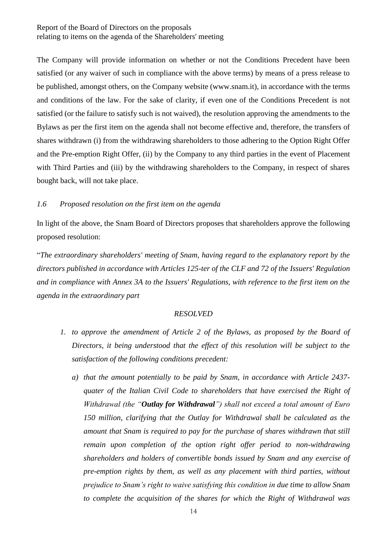The Company will provide information on whether or not the Conditions Precedent have been satisfied (or any waiver of such in compliance with the above terms) by means of a press release to be published, amongst others, on the Company website (www.snam.it), in accordance with the terms and conditions of the law. For the sake of clarity, if even one of the Conditions Precedent is not satisfied (or the failure to satisfy such is not waived), the resolution approving the amendments to the Bylaws as per the first item on the agenda shall not become effective and, therefore, the transfers of shares withdrawn (i) from the withdrawing shareholders to those adhering to the Option Right Offer and the Pre-emption Right Offer, (ii) by the Company to any third parties in the event of Placement with Third Parties and (iii) by the withdrawing shareholders to the Company, in respect of shares bought back, will not take place.

#### <span id="page-13-0"></span>*1.6 Proposed resolution on the first item on the agenda*

In light of the above, the Snam Board of Directors proposes that shareholders approve the following proposed resolution:

"*The extraordinary shareholders' meeting of Snam, having regard to the explanatory report by the directors published in accordance with Articles 125-ter of the CLF and 72 of the Issuers' Regulation and in compliance with Annex 3A to the Issuers' Regulations, with reference to the first item on the agenda in the extraordinary part*

#### *RESOLVED*

- *1. to approve the amendment of Article 2 of the Bylaws, as proposed by the Board of Directors, it being understood that the effect of this resolution will be subject to the satisfaction of the following conditions precedent:*
	- *a) that the amount potentially to be paid by Snam, in accordance with Article 2437 quater of the Italian Civil Code to shareholders that have exercised the Right of Withdrawal (the "Outlay for Withdrawal") shall not exceed a total amount of Euro 150 million, clarifying that the Outlay for Withdrawal shall be calculated as the amount that Snam is required to pay for the purchase of shares withdrawn that still remain upon completion of the option right offer period to non-withdrawing shareholders and holders of convertible bonds issued by Snam and any exercise of pre-emption rights by them, as well as any placement with third parties, without prejudice to Snam's right to waive satisfying this condition in due time to allow Snam to complete the acquisition of the shares for which the Right of Withdrawal was*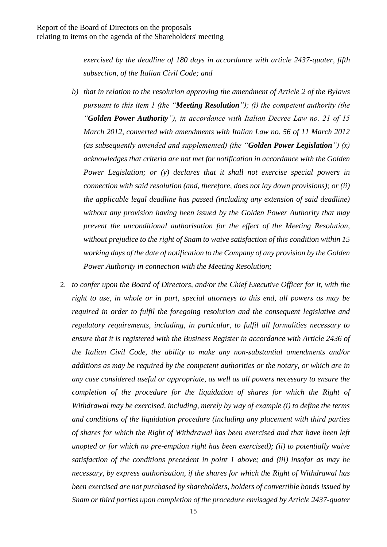*exercised by the deadline of 180 days in accordance with article 2437-quater, fifth subsection, of the Italian Civil Code; and*

- *b) that in relation to the resolution approving the amendment of Article 2 of the Bylaws pursuant to this item 1 (the "Meeting Resolution"); (i) the competent authority (the "Golden Power Authority"), in accordance with Italian Decree Law no. 21 of 15 March 2012, converted with amendments with Italian Law no. 56 of 11 March 2012 (as subsequently amended and supplemented) (the "Golden Power Legislation") (x) acknowledges that criteria are not met for notification in accordance with the Golden Power Legislation; or (y) declares that it shall not exercise special powers in connection with said resolution (and, therefore, does not lay down provisions); or (ii) the applicable legal deadline has passed (including any extension of said deadline) without any provision having been issued by the Golden Power Authority that may prevent the unconditional authorisation for the effect of the Meeting Resolution, without prejudice to the right of Snam to waive satisfaction of this condition within 15 working days of the date of notification to the Company of any provision by the Golden Power Authority in connection with the Meeting Resolution;*
- 2. *to confer upon the Board of Directors, and/or the Chief Executive Officer for it, with the right to use, in whole or in part, special attorneys to this end, all powers as may be required in order to fulfil the foregoing resolution and the consequent legislative and regulatory requirements, including, in particular, to fulfil all formalities necessary to ensure that it is registered with the Business Register in accordance with Article 2436 of the Italian Civil Code, the ability to make any non-substantial amendments and/or additions as may be required by the competent authorities or the notary, or which are in any case considered useful or appropriate, as well as all powers necessary to ensure the completion of the procedure for the liquidation of shares for which the Right of Withdrawal may be exercised, including, merely by way of example (i) to define the terms and conditions of the liquidation procedure (including any placement with third parties of shares for which the Right of Withdrawal has been exercised and that have been left unopted or for which no pre-emption right has been exercised); (ii) to potentially waive satisfaction of the conditions precedent in point 1 above; and (iii) insofar as may be necessary, by express authorisation, if the shares for which the Right of Withdrawal has been exercised are not purchased by shareholders, holders of convertible bonds issued by Snam or third parties upon completion of the procedure envisaged by Article 2437-quater*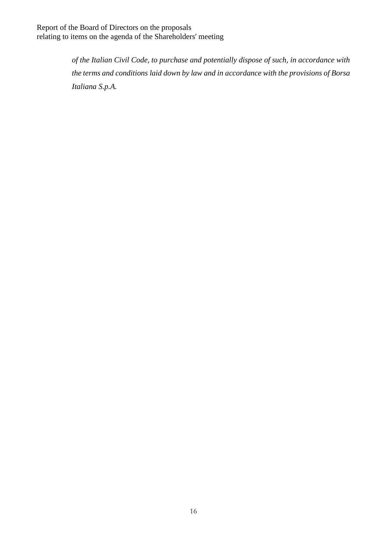> *of the Italian Civil Code, to purchase and potentially dispose of such, in accordance with the terms and conditions laid down by law and in accordance with the provisions of Borsa Italiana S.p.A.*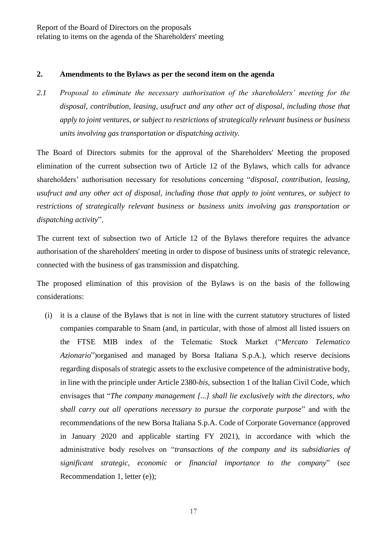#### <span id="page-16-0"></span>**2. Amendments to the Bylaws as per the second item on the agenda**

<span id="page-16-1"></span>*2.1 Proposal to eliminate the necessary authorisation of the shareholders' meeting for the disposal, contribution, leasing, usufruct and any other act of disposal, including those that apply to joint ventures, or subject to restrictions of strategically relevant business or business units involving gas transportation or dispatching activity.*

The Board of Directors submits for the approval of the Shareholders' Meeting the proposed elimination of the current subsection two of Article 12 of the Bylaws, which calls for advance shareholders' authorisation necessary for resolutions concerning "*disposal, contribution, leasing, usufruct and any other act of disposal, including those that apply to joint ventures, or subject to restrictions of strategically relevant business or business units involving gas transportation or dispatching activity*".

The current text of subsection two of Article 12 of the Bylaws therefore requires the advance authorisation of the shareholders' meeting in order to dispose of business units of strategic relevance, connected with the business of gas transmission and dispatching.

The proposed elimination of this provision of the Bylaws is on the basis of the following considerations:

(i) it is a clause of the Bylaws that is not in line with the current statutory structures of listed companies comparable to Snam (and, in particular, with those of almost all listed issuers on the FTSE MIB index of the Telematic Stock Market ("*Mercato Telematico Azionario*")organised and managed by Borsa Italiana S.p.A.), which reserve decisions regarding disposals of strategic assets to the exclusive competence of the administrative body, in line with the principle under Article 2380-*bis*, subsection 1 of the Italian Civil Code, which envisages that "*The company management [...] shall lie exclusively with the directors, who shall carry out all operations necessary to pursue the corporate purpose*" and with the recommendations of the new Borsa Italiana S.p.A. Code of Corporate Governance (approved in January 2020 and applicable starting FY 2021), in accordance with which the administrative body resolves on "*transactions of the company and its subsidiaries of significant strategic, economic or financial importance to the company*" (see Recommendation 1, letter (e));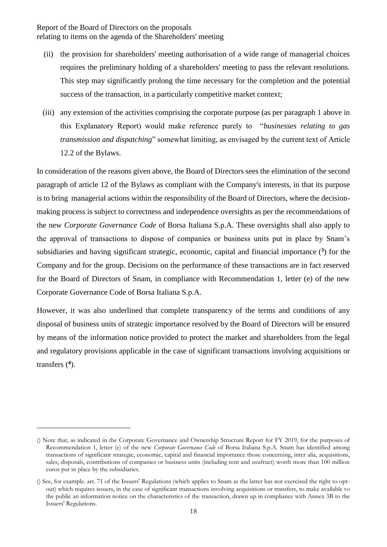- (ii) the provision for shareholders' meeting authorisation of a wide range of managerial choices requires the preliminary holding of a shareholders' meeting to pass the relevant resolutions. This step may significantly prolong the time necessary for the completion and the potential success of the transaction, in a particularly competitive market context;
- (iii) any extension of the activities comprising the corporate purpose (as per paragraph 1 above in this Explanatory Report) would make reference purely to "*businesses relating to gas transmission and dispatching*" somewhat limiting, as envisaged by the current text of Article 12.2 of the Bylaws.

In consideration of the reasons given above, the Board of Directors sees the elimination of the second paragraph of article 12 of the Bylaws as compliant with the Company's interests, in that its purpose is to bring managerial actions within the responsibility of the Board of Directors, where the decisionmaking process is subject to correctness and independence oversights as per the recommendations of the new *Corporate Governance Code* of Borsa Italiana S.p.A. These oversights shall also apply to the approval of transactions to dispose of companies or business units put in place by Snam's subsidiaries and having significant strategic, economic, capital and financial importance  $(3)$  for the Company and for the group. Decisions on the performance of these transactions are in fact reserved for the Board of Directors of Snam, in compliance with Recommendation 1, letter (e) of the new Corporate Governance Code of Borsa Italiana S.p.A.

However, it was also underlined that complete transparency of the terms and conditions of any disposal of business units of strategic importance resolved by the Board of Directors will be ensured by means of the information notice provided to protect the market and shareholders from the legal and regulatory provisions applicable in the case of significant transactions involving acquisitions or transfers (**<sup>4</sup>** ).

-

<sup>()</sup> Note that, as indicated in the Corporate Governance and Ownership Structure Report for FY 2019, for the purposes of Recommendation 1, letter (e) of the new *Corporate Governance Code* of Borsa Italiana S.p.A. Snam has identified among transactions of significant strategic, economic, capital and financial importance those concerning, inter alia, acquisitions, sales, disposals, contributions of companies or business units (including rent and usufruct) worth more than 100 million euros put in place by the subsidiaries.

<sup>()</sup> See, for example. art. 71 of the Issuers' Regulations (which applies to Snam as the latter has not exercised the right to optout) which requires issuers, in the case of significant transactions involving acquisitions or transfers, to make available to the public an information notice on the characteristics of the transaction, drawn up in compliance with Annex 3B to the Issuers' Regulations.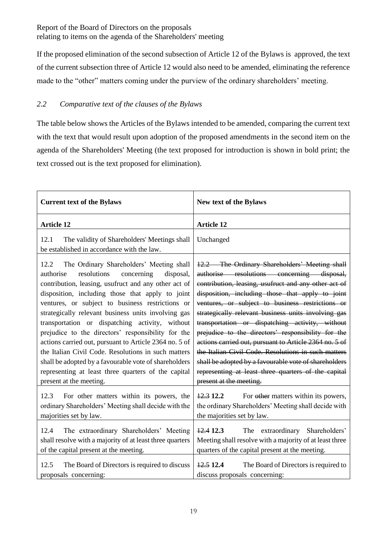If the proposed elimination of the second subsection of Article 12 of the Bylaws is approved, the text of the current subsection three of Article 12 would also need to be amended, eliminating the reference made to the "other" matters coming under the purview of the ordinary shareholders' meeting.

# <span id="page-18-0"></span>*2.2 Comparative text of the clauses of the Bylaws*

The table below shows the Articles of the Bylaws intended to be amended, comparing the current text with the text that would result upon adoption of the proposed amendments in the second item on the agenda of the Shareholders' Meeting (the text proposed for introduction is shown in bold print; the text crossed out is the text proposed for elimination).

| <b>Current text of the Bylaws</b>                                                                                                                                                                                                                                                                                                                                                                                                                                                                                                                                                                                                                                                                   | New text of the Bylaws                                                                                                                                                                                                                                                                                                                                                                                                                                                                                                                                                                                                                                                                  |
|-----------------------------------------------------------------------------------------------------------------------------------------------------------------------------------------------------------------------------------------------------------------------------------------------------------------------------------------------------------------------------------------------------------------------------------------------------------------------------------------------------------------------------------------------------------------------------------------------------------------------------------------------------------------------------------------------------|-----------------------------------------------------------------------------------------------------------------------------------------------------------------------------------------------------------------------------------------------------------------------------------------------------------------------------------------------------------------------------------------------------------------------------------------------------------------------------------------------------------------------------------------------------------------------------------------------------------------------------------------------------------------------------------------|
| <b>Article 12</b>                                                                                                                                                                                                                                                                                                                                                                                                                                                                                                                                                                                                                                                                                   | <b>Article 12</b>                                                                                                                                                                                                                                                                                                                                                                                                                                                                                                                                                                                                                                                                       |
| 12.1<br>The validity of Shareholders' Meetings shall<br>be established in accordance with the law.                                                                                                                                                                                                                                                                                                                                                                                                                                                                                                                                                                                                  | Unchanged                                                                                                                                                                                                                                                                                                                                                                                                                                                                                                                                                                                                                                                                               |
| 12.2<br>The Ordinary Shareholders' Meeting shall<br>resolutions<br>concerning<br>authorise<br>disposal,<br>contribution, leasing, usufruct and any other act of<br>disposition, including those that apply to joint<br>ventures, or subject to business restrictions or<br>strategically relevant business units involving gas<br>transportation or dispatching activity, without<br>prejudice to the directors' responsibility for the<br>actions carried out, pursuant to Article 2364 no. 5 of<br>the Italian Civil Code. Resolutions in such matters<br>shall be adopted by a favourable vote of shareholders<br>representing at least three quarters of the capital<br>present at the meeting. | 12.2 The Ordinary Shareholders' Meeting shall<br>authorise resolutions concerning disposal,<br>contribution, leasing, usufruct and any other act of<br>disposition, including those that apply to joint<br>ventures, or subject to business restrictions or<br>strategically relevant business units involving gas<br>transportation or dispatching activity, without<br>prejudice to the directors' responsibility for the<br>actions carried out, pursuant to Article 2364 no. 5 of<br>the Italian Civil Code. Resolutions in such matters<br>shall be adopted by a favourable vote of shareholders<br>representing at least three quarters of the capital<br>present at the meeting. |
| 12.3<br>For other matters within its powers, the<br>ordinary Shareholders' Meeting shall decide with the<br>majorities set by law.<br>The extraordinary Shareholders' Meeting<br>12.4                                                                                                                                                                                                                                                                                                                                                                                                                                                                                                               | $\frac{12.3}{2}$ 12.2<br>For other matters within its powers,<br>the ordinary Shareholders' Meeting shall decide with<br>the majorities set by law.<br>extraordinary Shareholders'<br>$\frac{12.4}{2}$ 12.3<br>The                                                                                                                                                                                                                                                                                                                                                                                                                                                                      |
| shall resolve with a majority of at least three quarters<br>of the capital present at the meeting.                                                                                                                                                                                                                                                                                                                                                                                                                                                                                                                                                                                                  | Meeting shall resolve with a majority of at least three<br>quarters of the capital present at the meeting.                                                                                                                                                                                                                                                                                                                                                                                                                                                                                                                                                                              |
| 12.5<br>The Board of Directors is required to discuss<br>proposals concerning:                                                                                                                                                                                                                                                                                                                                                                                                                                                                                                                                                                                                                      | 12.512.4<br>The Board of Directors is required to<br>discuss proposals concerning:                                                                                                                                                                                                                                                                                                                                                                                                                                                                                                                                                                                                      |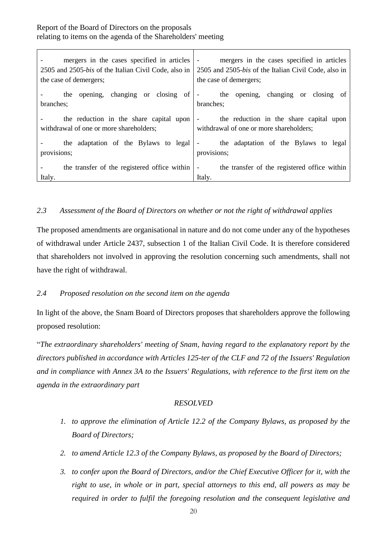| mergers in the cases specified in articles<br>2505 and 2505-bis of the Italian Civil Code, also in<br>the case of demergers; | mergers in the cases specified in articles<br>$\overline{\phantom{a}}$<br>2505 and 2505-bis of the Italian Civil Code, also in<br>the case of demergers; |
|------------------------------------------------------------------------------------------------------------------------------|----------------------------------------------------------------------------------------------------------------------------------------------------------|
| the opening, changing or closing of<br>branches;                                                                             | the opening, changing or closing of<br>$\overline{\phantom{a}}$<br>branches;                                                                             |
| the reduction in the share capital upon                                                                                      | the reduction in the share capital upon                                                                                                                  |
| withdrawal of one or more shareholders;                                                                                      | withdrawal of one or more shareholders;                                                                                                                  |
| the adaptation of the Bylaws to legal                                                                                        | the adaptation of the Bylaws to legal                                                                                                                    |
| provisions;                                                                                                                  | provisions;                                                                                                                                              |
| the transfer of the registered office within                                                                                 | the transfer of the registered office within                                                                                                             |
| Italy.                                                                                                                       | Italy.                                                                                                                                                   |

# <span id="page-19-0"></span>*2.3 Assessment of the Board of Directors on whether or not the right of withdrawal applies*

The proposed amendments are organisational in nature and do not come under any of the hypotheses of withdrawal under Article 2437, subsection 1 of the Italian Civil Code. It is therefore considered that shareholders not involved in approving the resolution concerning such amendments, shall not have the right of withdrawal.

### <span id="page-19-1"></span>*2.4 Proposed resolution on the second item on the agenda*

In light of the above, the Snam Board of Directors proposes that shareholders approve the following proposed resolution:

"*The extraordinary shareholders' meeting of Snam, having regard to the explanatory report by the directors published in accordance with Articles 125-ter of the CLF and 72 of the Issuers' Regulation and in compliance with Annex 3A to the Issuers' Regulations, with reference to the first item on the agenda in the extraordinary part*

### *RESOLVED*

- *1. to approve the elimination of Article 12.2 of the Company Bylaws, as proposed by the Board of Directors;*
- *2. to amend Article 12.3 of the Company Bylaws, as proposed by the Board of Directors;*
- *3. to confer upon the Board of Directors, and/or the Chief Executive Officer for it, with the right to use, in whole or in part, special attorneys to this end, all powers as may be required in order to fulfil the foregoing resolution and the consequent legislative and*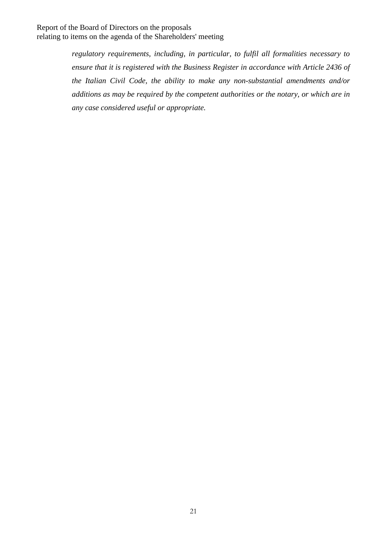*regulatory requirements, including, in particular, to fulfil all formalities necessary to ensure that it is registered with the Business Register in accordance with Article 2436 of the Italian Civil Code, the ability to make any non-substantial amendments and/or additions as may be required by the competent authorities or the notary, or which are in any case considered useful or appropriate.*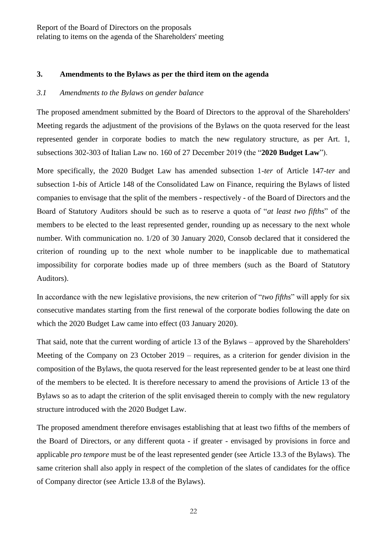#### <span id="page-21-0"></span>**3. Amendments to the Bylaws as per the third item on the agenda**

#### <span id="page-21-1"></span>*3.1 Amendments to the Bylaws on gender balance*

The proposed amendment submitted by the Board of Directors to the approval of the Shareholders' Meeting regards the adjustment of the provisions of the Bylaws on the quota reserved for the least represented gender in corporate bodies to match the new regulatory structure, as per Art. 1, subsections 302-303 of Italian Law no. 160 of 27 December 2019 (the "**2020 Budget Law**").

More specifically, the 2020 Budget Law has amended subsection 1-*ter* of Article 147-*ter* and subsection 1-*bis* of Article 148 of the Consolidated Law on Finance, requiring the Bylaws of listed companies to envisage that the split of the members - respectively - of the Board of Directors and the Board of Statutory Auditors should be such as to reserve a quota of "*at least two fifths*" of the members to be elected to the least represented gender, rounding up as necessary to the next whole number. With communication no. 1/20 of 30 January 2020, Consob declared that it considered the criterion of rounding up to the next whole number to be inapplicable due to mathematical impossibility for corporate bodies made up of three members (such as the Board of Statutory Auditors).

In accordance with the new legislative provisions, the new criterion of "*two fifths*" will apply for six consecutive mandates starting from the first renewal of the corporate bodies following the date on which the 2020 Budget Law came into effect (03 January 2020).

That said, note that the current wording of article 13 of the Bylaws – approved by the Shareholders' Meeting of the Company on 23 October 2019 – requires, as a criterion for gender division in the composition of the Bylaws, the quota reserved for the least represented gender to be at least one third of the members to be elected. It is therefore necessary to amend the provisions of Article 13 of the Bylaws so as to adapt the criterion of the split envisaged therein to comply with the new regulatory structure introduced with the 2020 Budget Law.

The proposed amendment therefore envisages establishing that at least two fifths of the members of the Board of Directors, or any different quota - if greater - envisaged by provisions in force and applicable *pro tempore* must be of the least represented gender (see Article 13.3 of the Bylaws). The same criterion shall also apply in respect of the completion of the slates of candidates for the office of Company director (see Article 13.8 of the Bylaws).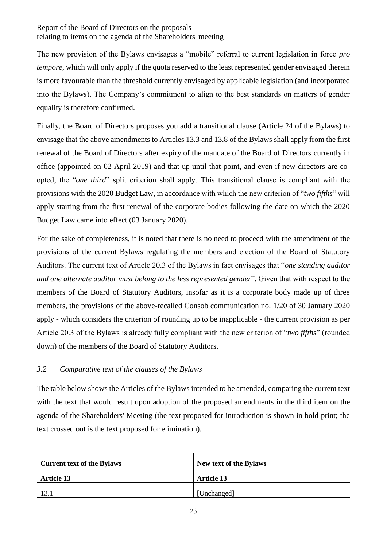The new provision of the Bylaws envisages a "mobile" referral to current legislation in force *pro tempore*, which will only apply if the quota reserved to the least represented gender envisaged therein is more favourable than the threshold currently envisaged by applicable legislation (and incorporated into the Bylaws). The Company's commitment to align to the best standards on matters of gender equality is therefore confirmed.

Finally, the Board of Directors proposes you add a transitional clause (Article 24 of the Bylaws) to envisage that the above amendments to Articles 13.3 and 13.8 of the Bylaws shall apply from the first renewal of the Board of Directors after expiry of the mandate of the Board of Directors currently in office (appointed on 02 April 2019) and that up until that point, and even if new directors are coopted, the "*one third*" split criterion shall apply. This transitional clause is compliant with the provisions with the 2020 Budget Law, in accordance with which the new criterion of "*two fifths*" will apply starting from the first renewal of the corporate bodies following the date on which the 2020 Budget Law came into effect (03 January 2020).

For the sake of completeness, it is noted that there is no need to proceed with the amendment of the provisions of the current Bylaws regulating the members and election of the Board of Statutory Auditors. The current text of Article 20.3 of the Bylaws in fact envisages that "*one standing auditor and one alternate auditor must belong to the less represented gender*". Given that with respect to the members of the Board of Statutory Auditors, insofar as it is a corporate body made up of three members, the provisions of the above-recalled Consob communication no. 1/20 of 30 January 2020 apply - which considers the criterion of rounding up to be inapplicable - the current provision as per Article 20.3 of the Bylaws is already fully compliant with the new criterion of "*two fifths*" (rounded down) of the members of the Board of Statutory Auditors.

# <span id="page-22-0"></span>*3.2 Comparative text of the clauses of the Bylaws*

The table below shows the Articles of the Bylaws intended to be amended, comparing the current text with the text that would result upon adoption of the proposed amendments in the third item on the agenda of the Shareholders' Meeting (the text proposed for introduction is shown in bold print; the text crossed out is the text proposed for elimination).

| <b>Current text of the Bylaws</b> | New text of the Bylaws |
|-----------------------------------|------------------------|
| <b>Article 13</b>                 | <b>Article 13</b>      |
| 13.1                              | [Unchanged]            |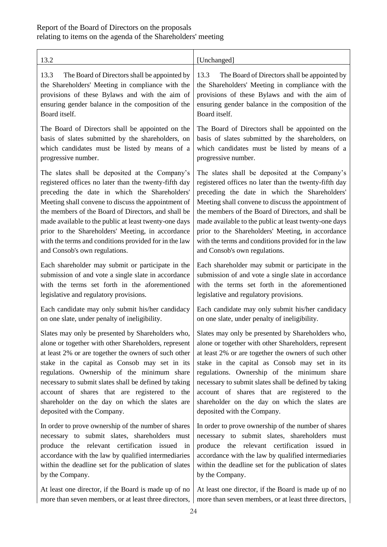| 13.2                                                  | [Unchanged]                                           |
|-------------------------------------------------------|-------------------------------------------------------|
| 13.3                                                  | The Board of Directors shall be appointed by          |
| The Board of Directors shall be appointed by          | 13.3                                                  |
| the Shareholders' Meeting in compliance with the      | the Shareholders' Meeting in compliance with the      |
| provisions of these Bylaws and with the aim of        | provisions of these Bylaws and with the aim of        |
| ensuring gender balance in the composition of the     | ensuring gender balance in the composition of the     |
| Board itself.                                         | Board itself.                                         |
| The Board of Directors shall be appointed on the      | The Board of Directors shall be appointed on the      |
| basis of slates submitted by the shareholders, on     | basis of slates submitted by the shareholders, on     |
| which candidates must be listed by means of a         | which candidates must be listed by means of a         |
| progressive number.                                   | progressive number.                                   |
| The slates shall be deposited at the Company's        | The slates shall be deposited at the Company's        |
| registered offices no later than the twenty-fifth day | registered offices no later than the twenty-fifth day |
| preceding the date in which the Shareholders'         | preceding the date in which the Shareholders'         |
| Meeting shall convene to discuss the appointment of   | Meeting shall convene to discuss the appointment of   |
| the members of the Board of Directors, and shall be   | the members of the Board of Directors, and shall be   |
| made available to the public at least twenty-one days | made available to the public at least twenty-one days |
| prior to the Shareholders' Meeting, in accordance     | prior to the Shareholders' Meeting, in accordance     |
| with the terms and conditions provided for in the law | with the terms and conditions provided for in the law |
| and Consob's own regulations.                         | and Consob's own regulations.                         |
| Each shareholder may submit or participate in the     | Each shareholder may submit or participate in the     |
| submission of and vote a single slate in accordance   | submission of and vote a single slate in accordance   |
| with the terms set forth in the aforementioned        | with the terms set forth in the aforementioned        |
| legislative and regulatory provisions.                | legislative and regulatory provisions.                |
| Each candidate may only submit his/her candidacy      | Each candidate may only submit his/her candidacy      |
| on one slate, under penalty of ineligibility.         | on one slate, under penalty of ineligibility.         |
| Slates may only be presented by Shareholders who,     | Slates may only be presented by Shareholders who,     |
| alone or together with other Shareholders, represent  | alone or together with other Shareholders, represent  |
| at least 2% or are together the owners of such other  | at least 2% or are together the owners of such other  |
| stake in the capital as Consob may set in its         | stake in the capital as Consob may set in its         |
| regulations. Ownership of the minimum share           | regulations. Ownership of the minimum share           |
| necessary to submit slates shall be defined by taking | necessary to submit slates shall be defined by taking |
| account of shares that are registered to the          | account of shares that are registered to the          |
| shareholder on the day on which the slates are        | shareholder on the day on which the slates are        |
| deposited with the Company.                           | deposited with the Company.                           |
| In order to prove ownership of the number of shares   | In order to prove ownership of the number of shares   |
| necessary to submit slates, shareholders must         | necessary to submit slates, shareholders must         |
| produce the relevant certification issued in          | produce the relevant certification issued in          |
| accordance with the law by qualified intermediaries   | accordance with the law by qualified intermediaries   |
| within the deadline set for the publication of slates | within the deadline set for the publication of slates |
| by the Company.                                       | by the Company.                                       |
| At least one director, if the Board is made up of no  | At least one director, if the Board is made up of no  |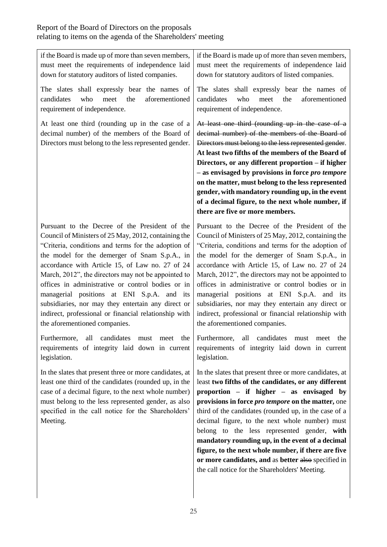if the Board is made up of more than seven members, must meet the requirements of independence laid down for statutory auditors of listed companies. The slates shall expressly bear the names of candidates who meet the aforementioned requirement of independence. At least one third (rounding up in the case of a decimal number) of the members of the Board of Directors must belong to the less represented gender. requirement of independence. **there are five or more members.** Pursuant to the Decree of the President of the Council of Ministers of 25 May, 2012, containing the "Criteria, conditions and terms for the adoption of the model for the demerger of Snam S.p.A., in accordance with Article 15, of Law no. 27 of 24 March, 2012", the directors may not be appointed to offices in administrative or control bodies or in managerial positions at ENI S.p.A. and its subsidiaries, nor may they entertain any direct or indirect, professional or financial relationship with the aforementioned companies. Pursuant to the Decree of the President of the the aforementioned companies.

Furthermore, all candidates must meet the requirements of integrity laid down in current legislation.

In the slates that present three or more candidates, at least one third of the candidates (rounded up, in the case of a decimal figure, to the next whole number) must belong to the less represented gender, as also specified in the call notice for the Shareholders' Meeting.

if the Board is made up of more than seven members, must meet the requirements of independence laid down for statutory auditors of listed companies.

The slates shall expressly bear the names of candidates who meet the aforementioned

At least one third (rounding up in the case of a decimal number) of the members of the Board of Directors must belong to the less represented gender. **At least two fifths of the members of the Board of Directors, or any different proportion – if higher – as envisaged by provisions in force** *pro tempore* **on the matter, must belong to the less represented gender, with mandatory rounding up, in the event of a decimal figure, to the next whole number, if** 

Council of Ministers of 25 May, 2012, containing the "Criteria, conditions and terms for the adoption of the model for the demerger of Snam S.p.A., in accordance with Article 15, of Law no. 27 of 24 March, 2012", the directors may not be appointed to offices in administrative or control bodies or in managerial positions at ENI S.p.A. and its subsidiaries, nor may they entertain any direct or indirect, professional or financial relationship with

Furthermore, all candidates must meet the requirements of integrity laid down in current legislation.

In the slates that present three or more candidates, at least **two fifths of the candidates, or any different proportion – if higher – as envisaged by provisions in force** *pro tempore* **on the matter,** one third of the candidates (rounded up, in the case of a decimal figure, to the next whole number) must belong to the less represented gender, **with mandatory rounding up, in the event of a decimal figure, to the next whole number, if there are five or more candidates, and** as **better** also specified in the call notice for the Shareholders' Meeting.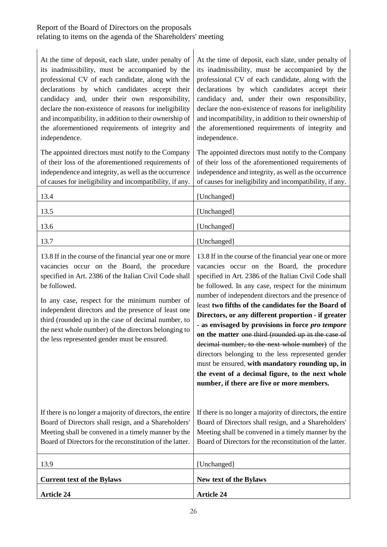| At the time of deposit, each slate, under penalty of<br>its inadmissibility, must be accompanied by the<br>professional CV of each candidate, along with the<br>declarations by which candidates accept their<br>candidacy and, under their own responsibility,<br>declare the non-existence of reasons for ineligibility<br>and incompatibility, in addition to their ownership of<br>the aforementioned requirements of integrity and<br>independence. | At the time of deposit, each slate, under penalty of<br>its inadmissibility, must be accompanied by the<br>professional CV of each candidate, along with the<br>declarations by which candidates accept their<br>candidacy and, under their own responsibility,<br>declare the non-existence of reasons for ineligibility<br>and incompatibility, in addition to their ownership of<br>the aforementioned requirements of integrity and<br>independence.                                                                                                                                                                                                                                                                                                             |
|----------------------------------------------------------------------------------------------------------------------------------------------------------------------------------------------------------------------------------------------------------------------------------------------------------------------------------------------------------------------------------------------------------------------------------------------------------|----------------------------------------------------------------------------------------------------------------------------------------------------------------------------------------------------------------------------------------------------------------------------------------------------------------------------------------------------------------------------------------------------------------------------------------------------------------------------------------------------------------------------------------------------------------------------------------------------------------------------------------------------------------------------------------------------------------------------------------------------------------------|
| The appointed directors must notify to the Company<br>of their loss of the aforementioned requirements of<br>independence and integrity, as well as the occurrence<br>of causes for ineligibility and incompatibility, if any.                                                                                                                                                                                                                           | The appointed directors must notify to the Company<br>of their loss of the aforementioned requirements of<br>independence and integrity, as well as the occurrence<br>of causes for ineligibility and incompatibility, if any.                                                                                                                                                                                                                                                                                                                                                                                                                                                                                                                                       |
| 13.4                                                                                                                                                                                                                                                                                                                                                                                                                                                     | [Unchanged]                                                                                                                                                                                                                                                                                                                                                                                                                                                                                                                                                                                                                                                                                                                                                          |
| 13.5                                                                                                                                                                                                                                                                                                                                                                                                                                                     | [Unchanged]                                                                                                                                                                                                                                                                                                                                                                                                                                                                                                                                                                                                                                                                                                                                                          |
| 13.6                                                                                                                                                                                                                                                                                                                                                                                                                                                     | [Unchanged]                                                                                                                                                                                                                                                                                                                                                                                                                                                                                                                                                                                                                                                                                                                                                          |
| 13.7                                                                                                                                                                                                                                                                                                                                                                                                                                                     | [Unchanged]                                                                                                                                                                                                                                                                                                                                                                                                                                                                                                                                                                                                                                                                                                                                                          |
| 13.8 If in the course of the financial year one or more<br>vacancies occur on the Board, the procedure<br>specified in Art. 2386 of the Italian Civil Code shall<br>be followed.<br>In any case, respect for the minimum number of<br>independent directors and the presence of least one<br>third (rounded up in the case of decimal number, to<br>the next whole number) of the directors belonging to<br>the less represented gender must be ensured. | 13.8 If in the course of the financial year one or more<br>vacancies occur on the Board, the procedure<br>specified in Art. 2386 of the Italian Civil Code shall<br>be followed. In any case, respect for the minimum<br>number of independent directors and the presence of<br>least two fifths of the candidates for the Board of<br>Directors, or any different proportion - if greater<br>- as envisaged by provisions in force pro tempore<br>on the matter one third (rounded up in the case of<br>decimal number, to the next whole number) of the<br>directors belonging to the less represented gender<br>must be ensured, with mandatory rounding up, in<br>the event of a decimal figure, to the next whole<br>number, if there are five or more members. |
| If there is no longer a majority of directors, the entire<br>Board of Directors shall resign, and a Shareholders'<br>Meeting shall be convened in a timely manner by the<br>Board of Directors for the reconstitution of the latter.                                                                                                                                                                                                                     | If there is no longer a majority of directors, the entire<br>Board of Directors shall resign, and a Shareholders'<br>Meeting shall be convened in a timely manner by the<br>Board of Directors for the reconstitution of the latter.                                                                                                                                                                                                                                                                                                                                                                                                                                                                                                                                 |
| 13.9                                                                                                                                                                                                                                                                                                                                                                                                                                                     | [Unchanged]                                                                                                                                                                                                                                                                                                                                                                                                                                                                                                                                                                                                                                                                                                                                                          |
| <b>Current text of the Bylaws</b>                                                                                                                                                                                                                                                                                                                                                                                                                        | New text of the Bylaws                                                                                                                                                                                                                                                                                                                                                                                                                                                                                                                                                                                                                                                                                                                                               |
| <b>Article 24</b>                                                                                                                                                                                                                                                                                                                                                                                                                                        | <b>Article 24</b>                                                                                                                                                                                                                                                                                                                                                                                                                                                                                                                                                                                                                                                                                                                                                    |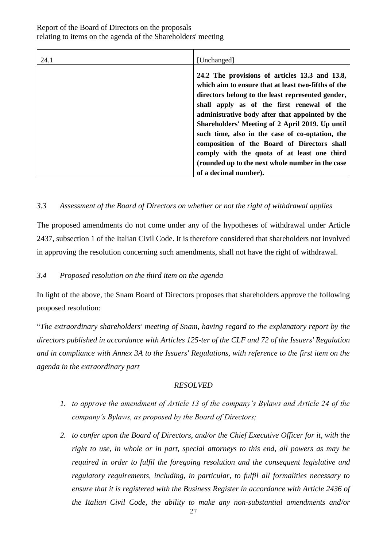| 24.1 | [Unchanged]                                                                                                                                                                                                                                                                                                                                                                                                                                                                                                         |
|------|---------------------------------------------------------------------------------------------------------------------------------------------------------------------------------------------------------------------------------------------------------------------------------------------------------------------------------------------------------------------------------------------------------------------------------------------------------------------------------------------------------------------|
|      | 24.2 The provisions of articles 13.3 and 13.8,<br>which aim to ensure that at least two-fifths of the<br>directors belong to the least represented gender,<br>shall apply as of the first renewal of the<br>administrative body after that appointed by the<br>Shareholders' Meeting of 2 April 2019. Up until<br>such time, also in the case of co-optation, the<br>composition of the Board of Directors shall<br>comply with the quota of at least one third<br>(rounded up to the next whole number in the case |
|      | of a decimal number).                                                                                                                                                                                                                                                                                                                                                                                                                                                                                               |

# <span id="page-26-0"></span>*3.3 Assessment of the Board of Directors on whether or not the right of withdrawal applies*

The proposed amendments do not come under any of the hypotheses of withdrawal under Article 2437, subsection 1 of the Italian Civil Code. It is therefore considered that shareholders not involved in approving the resolution concerning such amendments, shall not have the right of withdrawal.

### <span id="page-26-1"></span>*3.4 Proposed resolution on the third item on the agenda*

In light of the above, the Snam Board of Directors proposes that shareholders approve the following proposed resolution:

"*The extraordinary shareholders' meeting of Snam, having regard to the explanatory report by the directors published in accordance with Articles 125-ter of the CLF and 72 of the Issuers' Regulation and in compliance with Annex 3A to the Issuers' Regulations, with reference to the first item on the agenda in the extraordinary part*

### *RESOLVED*

- *1. to approve the amendment of Article 13 of the company's Bylaws and Article 24 of the company's Bylaws, as proposed by the Board of Directors;*
- *2. to confer upon the Board of Directors, and/or the Chief Executive Officer for it, with the right to use, in whole or in part, special attorneys to this end, all powers as may be required in order to fulfil the foregoing resolution and the consequent legislative and regulatory requirements, including, in particular, to fulfil all formalities necessary to ensure that it is registered with the Business Register in accordance with Article 2436 of the Italian Civil Code, the ability to make any non-substantial amendments and/or*